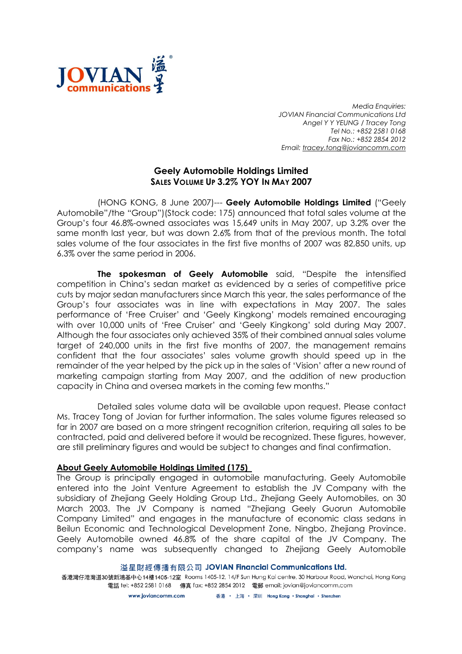

Media Enquiries: JOVIAN Financial Communications Ltd Angel Y Y YEUNG / Tracey Tong Tel No.: +852 2581 0168 Fax No.: +852 2854 2012 Email: tracey.tong@joviancomm.com

## Geely Automobile Holdings Limited SALES VOLUME UP 3.2% YOY IN MAY 2007

(HONG KONG, 8 June 2007)--- Geely Automobile Holdings Limited ("Geely Automobile"/the "Group")(Stock code: 175) announced that total sales volume at the Group's four 46.8%-owned associates was 15,649 units in May 2007, up 3.2% over the same month last year, but was down 2.6% from that of the previous month. The total sales volume of the four associates in the first five months of 2007 was 82,850 units, up 6.3% over the same period in 2006.

The spokesman of Geely Automobile said, "Despite the intensified competition in China's sedan market as evidenced by a series of competitive price cuts by major sedan manufacturers since March this year, the sales performance of the Group's four associates was in line with expectations in May 2007. The sales performance of 'Free Cruiser' and 'Geely Kingkong' models remained encouraging with over 10,000 units of 'Free Cruiser' and 'Geely Kingkong' sold during May 2007. Although the four associates only achieved 35% of their combined annual sales volume target of 240,000 units in the first five months of 2007, the management remains confident that the four associates' sales volume growth should speed up in the remainder of the year helped by the pick up in the sales of 'Vision' after a new round of marketing campaign starting from May 2007, and the addition of new production capacity in China and oversea markets in the coming few months."

Detailed sales volume data will be available upon request. Please contact Ms. Tracey Tong of Jovian for further information. The sales volume figures released so far in 2007 are based on a more stringent recognition criterion, requiring all sales to be contracted, paid and delivered before it would be recognized. These figures, however, are still preliminary figures and would be subject to changes and final confirmation.

## About Geely Automobile Holdings Limited (175)

The Group is principally engaged in automobile manufacturing. Geely Automobile entered into the Joint Venture Agreement to establish the JV Company with the subsidiary of Zhejiang Geely Holding Group Ltd., Zhejiang Geely Automobiles, on 30 March 2003. The JV Company is named "Zhejiang Geely Guorun Automobile Company Limited" and engages in the manufacture of economic class sedans in Beilun Economic and Technological Development Zone, Ningbo, Zhejiang Province. Geely Automobile owned 46.8% of the share capital of the JV Company. The company's name was subsequently changed to Zhejiang Geely Automobile

溢星財經傳播有限公司 JOVIAN Financial Communications Ltd.

香港灣仔港灣道30號新鴻基中心14樓1405-12室 Rooms 1405-12, 14/F Sun Hung Kai centre, 30 Harbour Road, Wanchai, Hong Kong 電話 tel: +852 2581 0168 傳真 fax: +852 2854 2012 電郵 email: jovian@joviancomm.com